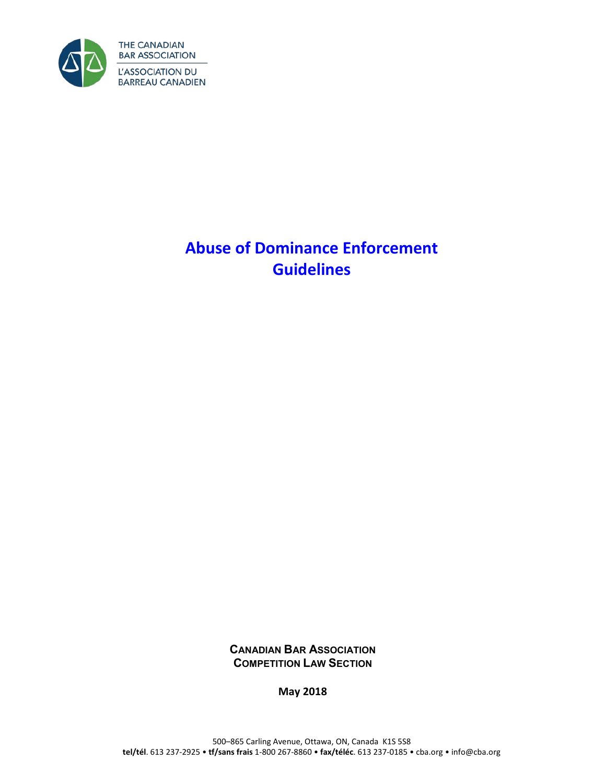

# **Abuse of Dominance Enforcement Guidelines**

**CANADIAN BAR ASSOCIATION COMPETITION LAW SECTION**

**May 2018**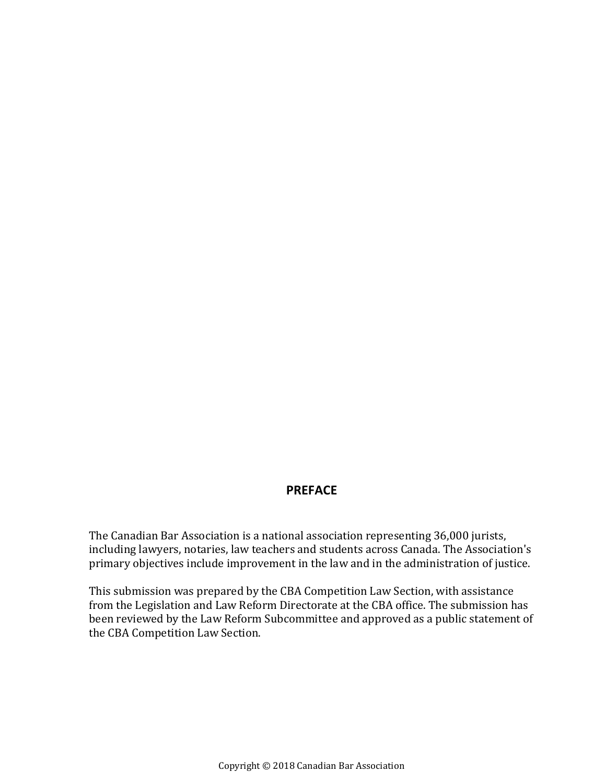# **PREFACE**

The Canadian Bar Association is a national association representing 36,000 jurists, including lawyers, notaries, law teachers and students across Canada. The Association's primary objectives include improvement in the law and in the administration of justice.

This submission was prepared by the CBA Competition Law Section, with assistance from the Legislation and Law Reform Directorate at the CBA office. The submission has been reviewed by the Law Reform Subcommittee and approved as a public statement of the CBA Competition Law Section.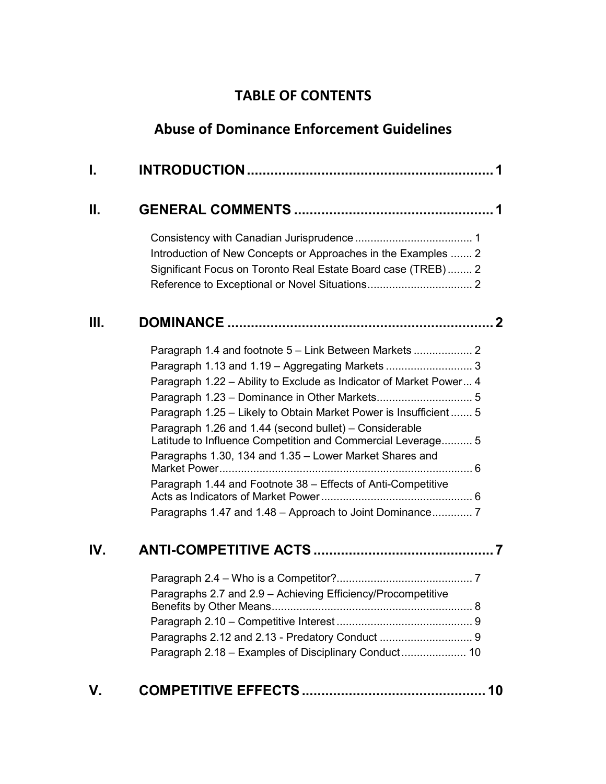# **TABLE OF CONTENTS**

# **Abuse of Dominance Enforcement Guidelines**

| I.  |                                                                    |
|-----|--------------------------------------------------------------------|
| Н.  |                                                                    |
|     |                                                                    |
|     | Introduction of New Concepts or Approaches in the Examples  2      |
|     | Significant Focus on Toronto Real Estate Board case (TREB)  2      |
|     |                                                                    |
| Ш.  |                                                                    |
|     | Paragraph 1.4 and footnote 5 - Link Between Markets  2             |
|     |                                                                    |
|     | Paragraph 1.22 - Ability to Exclude as Indicator of Market Power 4 |
|     |                                                                    |
|     | Paragraph 1.25 - Likely to Obtain Market Power is Insufficient  5  |
|     | Paragraph 1.26 and 1.44 (second bullet) – Considerable             |
|     | Latitude to Influence Competition and Commercial Leverage 5        |
|     | Paragraphs 1.30, 134 and 1.35 - Lower Market Shares and            |
|     | Paragraph 1.44 and Footnote 38 – Effects of Anti-Competitive       |
|     |                                                                    |
|     | Paragraphs 1.47 and 1.48 - Approach to Joint Dominance 7           |
| IV. |                                                                    |
|     |                                                                    |
|     | Paragraphs 2.7 and 2.9 - Achieving Efficiency/Procompetitive       |
|     |                                                                    |
|     |                                                                    |
|     |                                                                    |
|     | Paragraph 2.18 - Examples of Disciplinary Conduct 10               |
| V.  |                                                                    |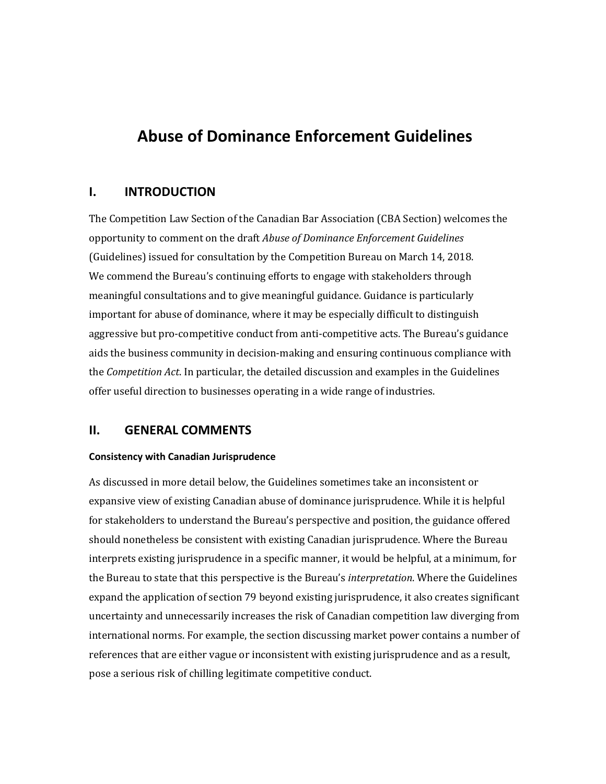# **Abuse of Dominance Enforcement Guidelines**

# <span id="page-4-0"></span>**I. INTRODUCTION**

The Competition Law Section of the Canadian Bar Association (CBA Section) welcomes the opportunity to comment on the draft *Abuse of Dominance Enforcement Guidelines* (Guidelines) issued for consultation by the Competition Bureau on March 14, 2018. We commend the Bureau's continuing efforts to engage with stakeholders through meaningful consultations and to give meaningful guidance. Guidance is particularly important for abuse of dominance, where it may be especially difficult to distinguish aggressive but pro-competitive conduct from anti-competitive acts. The Bureau's guidance aids the business community in decision-making and ensuring continuous compliance with the *Competition Act*. In particular, the detailed discussion and examples in the Guidelines offer useful direction to businesses operating in a wide range of industries.

# <span id="page-4-1"></span>**II. GENERAL COMMENTS**

### <span id="page-4-2"></span>**Consistency with Canadian Jurisprudence**

As discussed in more detail below, the Guidelines sometimes take an inconsistent or expansive view of existing Canadian abuse of dominance jurisprudence. While it is helpful for stakeholders to understand the Bureau's perspective and position, the guidance offered should nonetheless be consistent with existing Canadian jurisprudence. Where the Bureau interprets existing jurisprudence in a specific manner, it would be helpful, at a minimum, for the Bureau to state that this perspective is the Bureau's *interpretation*. Where the Guidelines expand the application of section 79 beyond existing jurisprudence, it also creates significant uncertainty and unnecessarily increases the risk of Canadian competition law diverging from international norms. For example, the section discussing market power contains a number of references that are either vague or inconsistent with existing jurisprudence and as a result, pose a serious risk of chilling legitimate competitive conduct.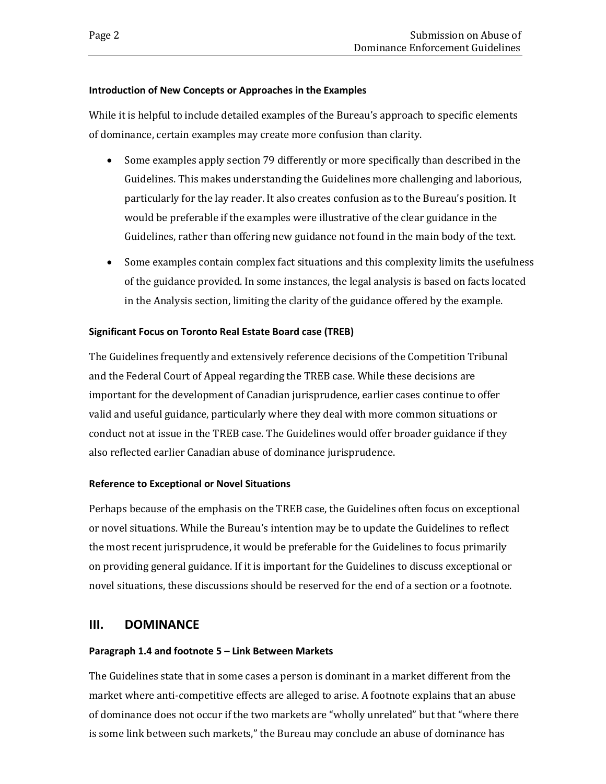### <span id="page-5-0"></span>**Introduction of New Concepts or Approaches in the Examples**

While it is helpful to include detailed examples of the Bureau's approach to specific elements of dominance, certain examples may create more confusion than clarity.

- Some examples apply section 79 differently or more specifically than described in the Guidelines. This makes understanding the Guidelines more challenging and laborious, particularly for the lay reader. It also creates confusion as to the Bureau's position. It would be preferable if the examples were illustrative of the clear guidance in the Guidelines, rather than offering new guidance not found in the main body of the text.
- Some examples contain complex fact situations and this complexity limits the usefulness of the guidance provided. In some instances, the legal analysis is based on facts located in the Analysis section, limiting the clarity of the guidance offered by the example.

### <span id="page-5-1"></span>**Significant Focus on Toronto Real Estate Board case (TREB)**

The Guidelines frequently and extensively reference decisions of the Competition Tribunal and the Federal Court of Appeal regarding the TREB case. While these decisions are important for the development of Canadian jurisprudence, earlier cases continue to offer valid and useful guidance, particularly where they deal with more common situations or conduct not at issue in the TREB case. The Guidelines would offer broader guidance if they also reflected earlier Canadian abuse of dominance jurisprudence.

### <span id="page-5-2"></span>**Reference to Exceptional or Novel Situations**

Perhaps because of the emphasis on the TREB case, the Guidelines often focus on exceptional or novel situations. While the Bureau's intention may be to update the Guidelines to reflect the most recent jurisprudence, it would be preferable for the Guidelines to focus primarily on providing general guidance. If it is important for the Guidelines to discuss exceptional or novel situations, these discussions should be reserved for the end of a section or a footnote.

# <span id="page-5-3"></span>**III. DOMINANCE**

### <span id="page-5-4"></span>**Paragraph 1.4 and footnote 5 – Link Between Markets**

The Guidelines state that in some cases a person is dominant in a market different from the market where anti-competitive effects are alleged to arise. A footnote explains that an abuse of dominance does not occur if the two markets are "wholly unrelated" but that "where there is some link between such markets," the Bureau may conclude an abuse of dominance has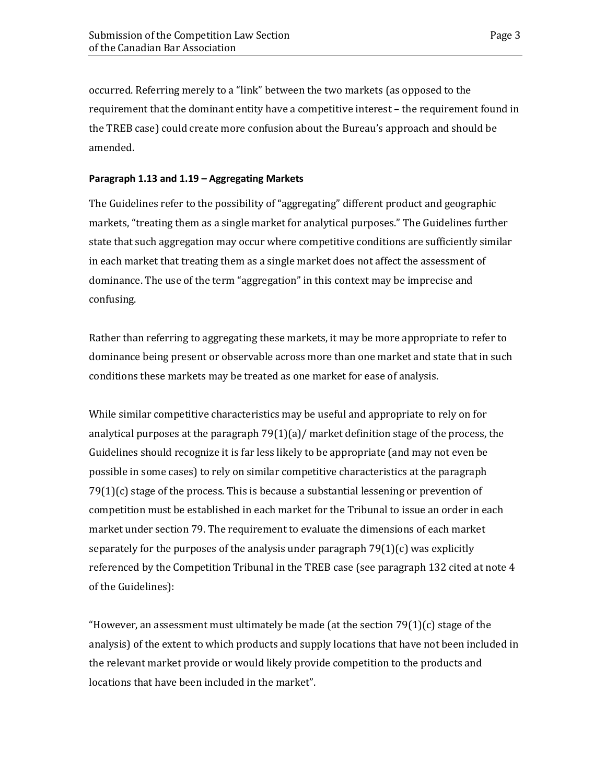occurred. Referring merely to a "link" between the two markets (as opposed to the requirement that the dominant entity have a competitive interest – the requirement found in the TREB case) could create more confusion about the Bureau's approach and should be amended.

#### <span id="page-6-0"></span>**Paragraph 1.13 and 1.19 – Aggregating Markets**

The Guidelines refer to the possibility of "aggregating" different product and geographic markets, "treating them as a single market for analytical purposes." The Guidelines further state that such aggregation may occur where competitive conditions are sufficiently similar in each market that treating them as a single market does not affect the assessment of dominance. The use of the term "aggregation" in this context may be imprecise and confusing.

Rather than referring to aggregating these markets, it may be more appropriate to refer to dominance being present or observable across more than one market and state that in such conditions these markets may be treated as one market for ease of analysis.

While similar competitive characteristics may be useful and appropriate to rely on for analytical purposes at the paragraph 79(1)(a)/ market definition stage of the process, the Guidelines should recognize it is far less likely to be appropriate (and may not even be possible in some cases) to rely on similar competitive characteristics at the paragraph 79(1)(c) stage of the process. This is because a substantial lessening or prevention of competition must be established in each market for the Tribunal to issue an order in each market under section 79. The requirement to evaluate the dimensions of each market separately for the purposes of the analysis under paragraph  $79(1)(c)$  was explicitly referenced by the Competition Tribunal in the TREB case (see paragraph 132 cited at note 4 of the Guidelines):

"However, an assessment must ultimately be made (at the section  $79(1)(c)$  stage of the analysis) of the extent to which products and supply locations that have not been included in the relevant market provide or would likely provide competition to the products and locations that have been included in the market".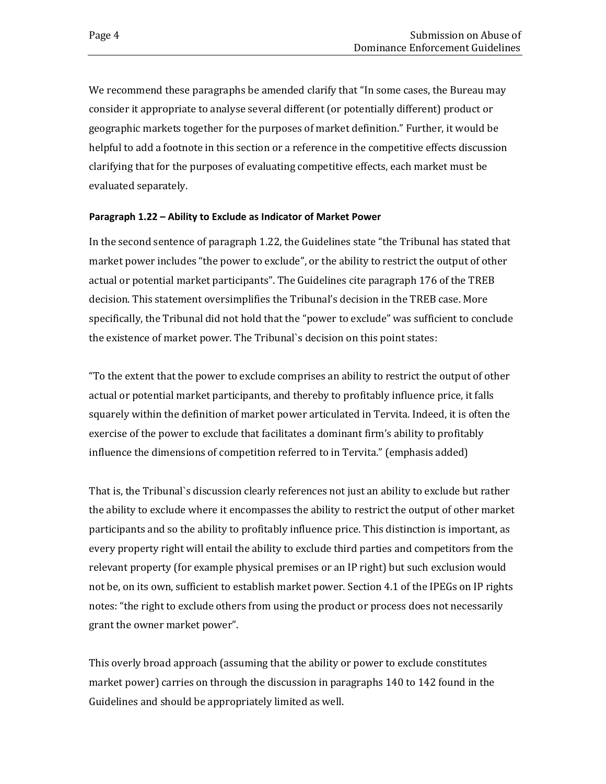We recommend these paragraphs be amended clarify that "In some cases, the Bureau may consider it appropriate to analyse several different (or potentially different) product or geographic markets together for the purposes of market definition." Further, it would be helpful to add a footnote in this section or a reference in the competitive effects discussion clarifying that for the purposes of evaluating competitive effects, each market must be evaluated separately.

### <span id="page-7-0"></span>**Paragraph 1.22 – Ability to Exclude as Indicator of Market Power**

In the second sentence of paragraph 1.22, the Guidelines state "the Tribunal has stated that market power includes "the power to exclude", or the ability to restrict the output of other actual or potential market participants". The Guidelines cite paragraph 176 of the TREB decision. This statement oversimplifies the Tribunal's decision in the TREB case. More specifically, the Tribunal did not hold that the "power to exclude" was sufficient to conclude the existence of market power. The Tribunal`s decision on this point states:

"To the extent that the power to exclude comprises an ability to restrict the output of other actual or potential market participants, and thereby to profitably influence price, it falls squarely within the definition of market power articulated in Tervita. Indeed, it is often the exercise of the power to exclude that facilitates a dominant firm's ability to profitably influence the dimensions of competition referred to in Tervita." (emphasis added)

That is, the Tribunal`s discussion clearly references not just an ability to exclude but rather the ability to exclude where it encompasses the ability to restrict the output of other market participants and so the ability to profitably influence price. This distinction is important, as every property right will entail the ability to exclude third parties and competitors from the relevant property (for example physical premises or an IP right) but such exclusion would not be, on its own, sufficient to establish market power. Section 4.1 of the IPEGs on IP rights notes: "the right to exclude others from using the product or process does not necessarily grant the owner market power".

This overly broad approach (assuming that the ability or power to exclude constitutes market power) carries on through the discussion in paragraphs 140 to 142 found in the Guidelines and should be appropriately limited as well.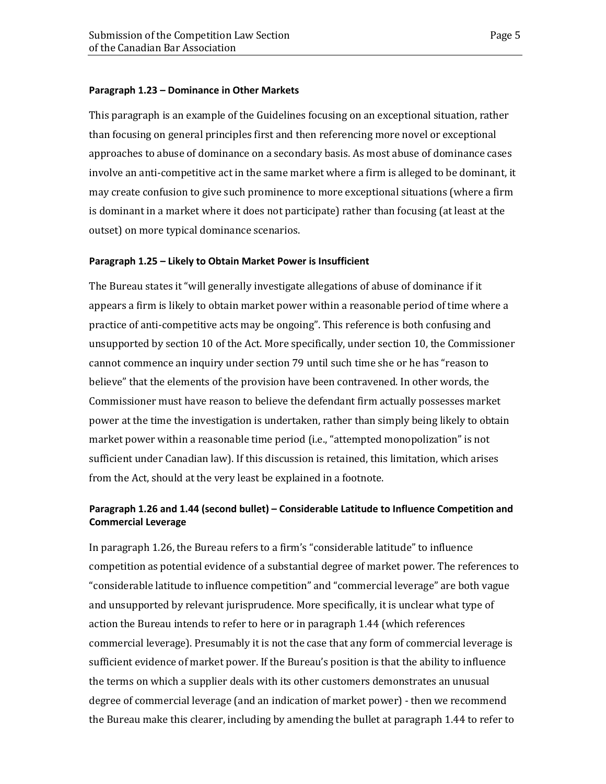### <span id="page-8-0"></span>**Paragraph 1.23 – Dominance in Other Markets**

This paragraph is an example of the Guidelines focusing on an exceptional situation, rather than focusing on general principles first and then referencing more novel or exceptional approaches to abuse of dominance on a secondary basis. As most abuse of dominance cases involve an anti-competitive act in the same market where a firm is alleged to be dominant, it may create confusion to give such prominence to more exceptional situations (where a firm is dominant in a market where it does not participate) rather than focusing (at least at the outset) on more typical dominance scenarios.

### <span id="page-8-1"></span>**Paragraph 1.25 – Likely to Obtain Market Power is Insufficient**

The Bureau states it "will generally investigate allegations of abuse of dominance if it appears a firm is likely to obtain market power within a reasonable period of time where a practice of anti-competitive acts may be ongoing". This reference is both confusing and unsupported by section 10 of the Act. More specifically, under section 10, the Commissioner cannot commence an inquiry under section 79 until such time she or he has "reason to believe" that the elements of the provision have been contravened. In other words, the Commissioner must have reason to believe the defendant firm actually possesses market power at the time the investigation is undertaken, rather than simply being likely to obtain market power within a reasonable time period (i.e., "attempted monopolization" is not sufficient under Canadian law). If this discussion is retained, this limitation, which arises from the Act, should at the very least be explained in a footnote.

# <span id="page-8-2"></span>**Paragraph 1.26 and 1.44 (second bullet) – Considerable Latitude to Influence Competition and Commercial Leverage**

In paragraph 1.26, the Bureau refers to a firm's "considerable latitude" to influence competition as potential evidence of a substantial degree of market power. The references to "considerable latitude to influence competition" and "commercial leverage" are both vague and unsupported by relevant jurisprudence. More specifically, it is unclear what type of action the Bureau intends to refer to here or in paragraph 1.44 (which references commercial leverage). Presumably it is not the case that any form of commercial leverage is sufficient evidence of market power. If the Bureau's position is that the ability to influence the terms on which a supplier deals with its other customers demonstrates an unusual degree of commercial leverage (and an indication of market power) - then we recommend the Bureau make this clearer, including by amending the bullet at paragraph 1.44 to refer to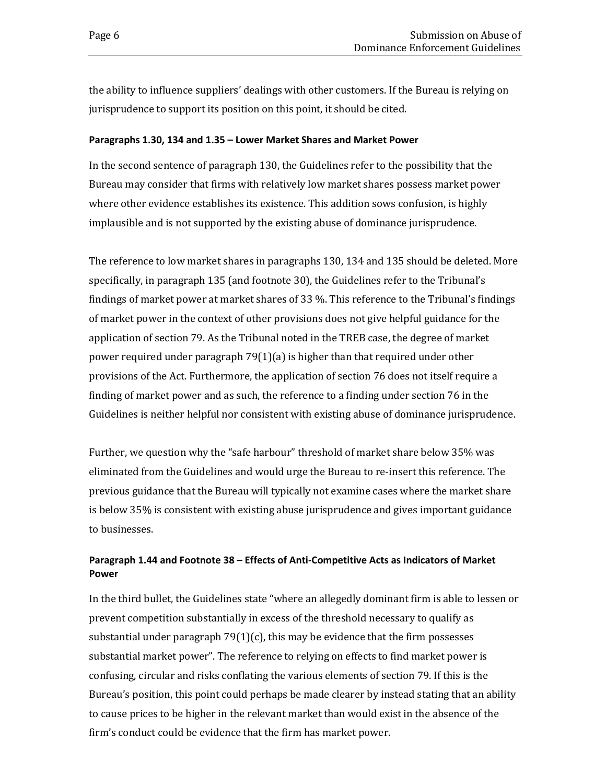the ability to influence suppliers' dealings with other customers. If the Bureau is relying on jurisprudence to support its position on this point, it should be cited.

### <span id="page-9-0"></span>**Paragraphs 1.30, 134 and 1.35 – Lower Market Shares and Market Power**

In the second sentence of paragraph 130, the Guidelines refer to the possibility that the Bureau may consider that firms with relatively low market shares possess market power where other evidence establishes its existence. This addition sows confusion, is highly implausible and is not supported by the existing abuse of dominance jurisprudence.

The reference to low market shares in paragraphs 130, 134 and 135 should be deleted. More specifically, in paragraph 135 (and footnote 30), the Guidelines refer to the Tribunal's findings of market power at market shares of 33 %. This reference to the Tribunal's findings of market power in the context of other provisions does not give helpful guidance for the application of section 79. As the Tribunal noted in the TREB case, the degree of market power required under paragraph 79(1)(a) is higher than that required under other provisions of the Act. Furthermore, the application of section 76 does not itself require a finding of market power and as such, the reference to a finding under section 76 in the Guidelines is neither helpful nor consistent with existing abuse of dominance jurisprudence.

Further, we question why the "safe harbour" threshold of market share below 35% was eliminated from the Guidelines and would urge the Bureau to re-insert this reference. The previous guidance that the Bureau will typically not examine cases where the market share is below 35% is consistent with existing abuse jurisprudence and gives important guidance to businesses.

## <span id="page-9-1"></span>**Paragraph 1.44 and Footnote 38 – Effects of Anti-Competitive Acts as Indicators of Market Power**

In the third bullet, the Guidelines state "where an allegedly dominant firm is able to lessen or prevent competition substantially in excess of the threshold necessary to qualify as substantial under paragraph  $79(1)(c)$ , this may be evidence that the firm possesses substantial market power". The reference to relying on effects to find market power is confusing, circular and risks conflating the various elements of section 79. If this is the Bureau's position, this point could perhaps be made clearer by instead stating that an ability to cause prices to be higher in the relevant market than would exist in the absence of the firm's conduct could be evidence that the firm has market power.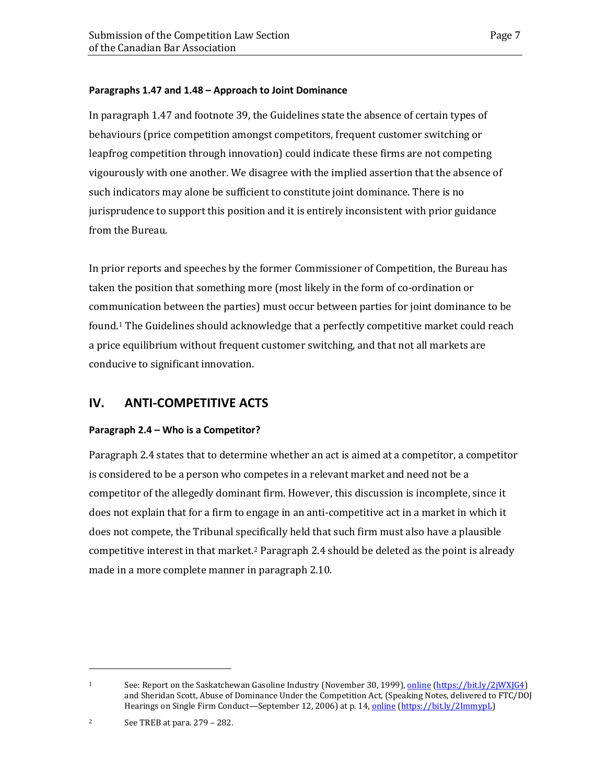### <span id="page-10-0"></span>**Paragraphs 1.47 and 1.48 – Approach to Joint Dominance**

In paragraph 1.47 and footnote 39, the Guidelines state the absence of certain types of behaviours (price competition amongst competitors, frequent customer switching or leapfrog competition through innovation) could indicate these firms are not competing vigourously with one another. We disagree with the implied assertion that the absence of such indicators may alone be sufficient to constitute joint dominance. There is no jurisprudence to support this position and it is entirely inconsistent with prior guidance from the Bureau.

In prior reports and speeches by the former Commissioner of Competition, the Bureau has taken the position that something more (most likely in the form of co-ordination or communication between the parties) must occur between parties for joint dominance to be found.[1](#page-10-3) The Guidelines should acknowledge that a perfectly competitive market could reach a price equilibrium without frequent customer switching, and that not all markets are conducive to significant innovation.

# <span id="page-10-1"></span>**IV. ANTI-COMPETITIVE ACTS**

### <span id="page-10-2"></span>**Paragraph 2.4 – Who is a Competitor?**

Paragraph 2.4 states that to determine whether an act is aimed at a competitor, a competitor is considered to be a person who competes in a relevant market and need not be a competitor of the allegedly dominant firm. However, this discussion is incomplete, since it does not explain that for a firm to engage in an anti-competitive act in a market in which it does not compete, the Tribunal specifically held that such firm must also have a plausible competitive interest in that market.[2](#page-10-4) Paragraph 2.4 should be deleted as the point is already made in a more complete manner in paragraph 2.10.

i<br>I

<span id="page-10-3"></span><sup>1</sup> See: Report on the Saskatchewan Gasoline Industry (November 30, 1999), [online](http://www.competitionbureau.gc.ca/eic/site/cb%E2%80%90bc.nsf/eng/01613.html) [\(https://bit.ly/2jWXJG4\)](https://bit.ly/2jWXJG4) and Sheridan Scott, Abuse of Dominance Under the Competition Act, (Speaking Notes, delivered to FTC/DOJ Hearings on Single Firm Conduct—September 12, 2006) at p. 14, [online](http://www.ftc.gov/os/sectiontwohearings/docs/SheridanScottSpeech060911.pdf) [\(https://bit.ly/2ImmypL\)](https://bit.ly/2ImmypL)

<span id="page-10-4"></span> $2 \qquad \qquad$  See TREB at para. 279 – 282.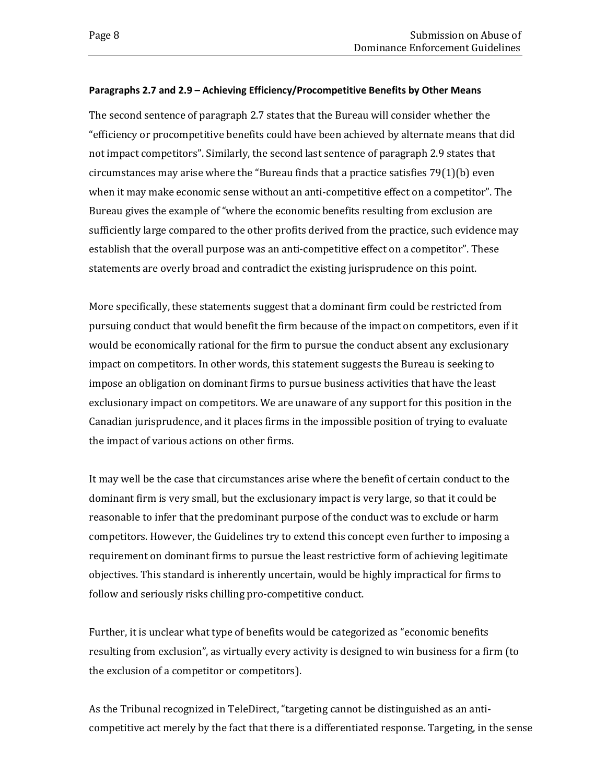### <span id="page-11-0"></span>**Paragraphs 2.7 and 2.9 – Achieving Efficiency/Procompetitive Benefits by Other Means**

The second sentence of paragraph 2.7 states that the Bureau will consider whether the "efficiency or procompetitive benefits could have been achieved by alternate means that did not impact competitors". Similarly, the second last sentence of paragraph 2.9 states that circumstances may arise where the "Bureau finds that a practice satisfies 79(1)(b) even when it may make economic sense without an anti-competitive effect on a competitor". The Bureau gives the example of "where the economic benefits resulting from exclusion are sufficiently large compared to the other profits derived from the practice, such evidence may establish that the overall purpose was an anti-competitive effect on a competitor". These statements are overly broad and contradict the existing jurisprudence on this point.

More specifically, these statements suggest that a dominant firm could be restricted from pursuing conduct that would benefit the firm because of the impact on competitors, even if it would be economically rational for the firm to pursue the conduct absent any exclusionary impact on competitors. In other words, this statement suggests the Bureau is seeking to impose an obligation on dominant firms to pursue business activities that have the least exclusionary impact on competitors. We are unaware of any support for this position in the Canadian jurisprudence, and it places firms in the impossible position of trying to evaluate the impact of various actions on other firms.

It may well be the case that circumstances arise where the benefit of certain conduct to the dominant firm is very small, but the exclusionary impact is very large, so that it could be reasonable to infer that the predominant purpose of the conduct was to exclude or harm competitors. However, the Guidelines try to extend this concept even further to imposing a requirement on dominant firms to pursue the least restrictive form of achieving legitimate objectives. This standard is inherently uncertain, would be highly impractical for firms to follow and seriously risks chilling pro-competitive conduct.

Further, it is unclear what type of benefits would be categorized as "economic benefits resulting from exclusion", as virtually every activity is designed to win business for a firm (to the exclusion of a competitor or competitors).

As the Tribunal recognized in TeleDirect, "targeting cannot be distinguished as an anticompetitive act merely by the fact that there is a differentiated response. Targeting, in the sense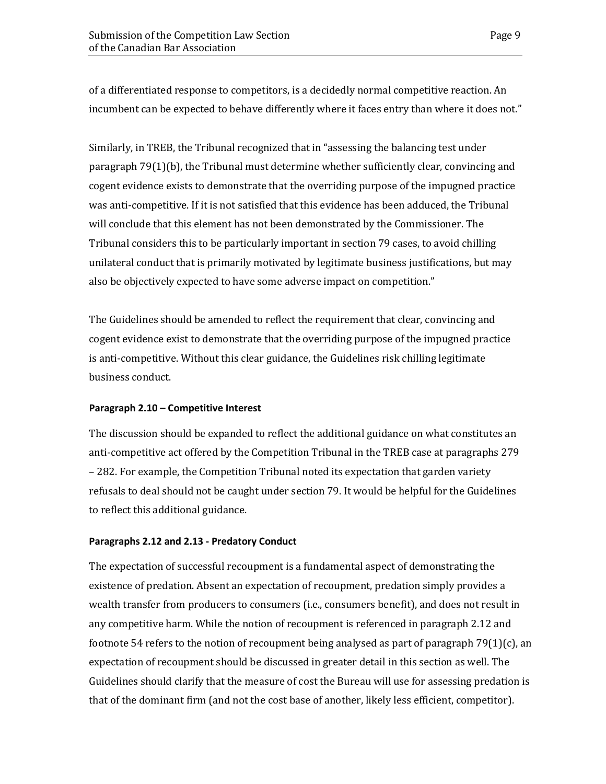of a differentiated response to competitors, is a decidedly normal competitive reaction. An incumbent can be expected to behave differently where it faces entry than where it does not."

Similarly, in TREB, the Tribunal recognized that in "assessing the balancing test under paragraph 79(1)(b), the Tribunal must determine whether sufficiently clear, convincing and cogent evidence exists to demonstrate that the overriding purpose of the impugned practice was anti-competitive. If it is not satisfied that this evidence has been adduced, the Tribunal will conclude that this element has not been demonstrated by the Commissioner. The Tribunal considers this to be particularly important in section 79 cases, to avoid chilling unilateral conduct that is primarily motivated by legitimate business justifications, but may also be objectively expected to have some adverse impact on competition."

The Guidelines should be amended to reflect the requirement that clear, convincing and cogent evidence exist to demonstrate that the overriding purpose of the impugned practice is anti-competitive. Without this clear guidance, the Guidelines risk chilling legitimate business conduct.

### <span id="page-12-0"></span>**Paragraph 2.10 – Competitive Interest**

The discussion should be expanded to reflect the additional guidance on what constitutes an anti-competitive act offered by the Competition Tribunal in the TREB case at paragraphs 279 – 282. For example, the Competition Tribunal noted its expectation that garden variety refusals to deal should not be caught under section 79. It would be helpful for the Guidelines to reflect this additional guidance.

### <span id="page-12-1"></span>**Paragraphs 2.12 and 2.13 - Predatory Conduct**

The expectation of successful recoupment is a fundamental aspect of demonstrating the existence of predation. Absent an expectation of recoupment, predation simply provides a wealth transfer from producers to consumers (i.e., consumers benefit), and does not result in any competitive harm. While the notion of recoupment is referenced in paragraph 2.12 and footnote 54 refers to the notion of recoupment being analysed as part of paragraph 79(1)(c), an expectation of recoupment should be discussed in greater detail in this section as well. The Guidelines should clarify that the measure of cost the Bureau will use for assessing predation is that of the dominant firm (and not the cost base of another, likely less efficient, competitor).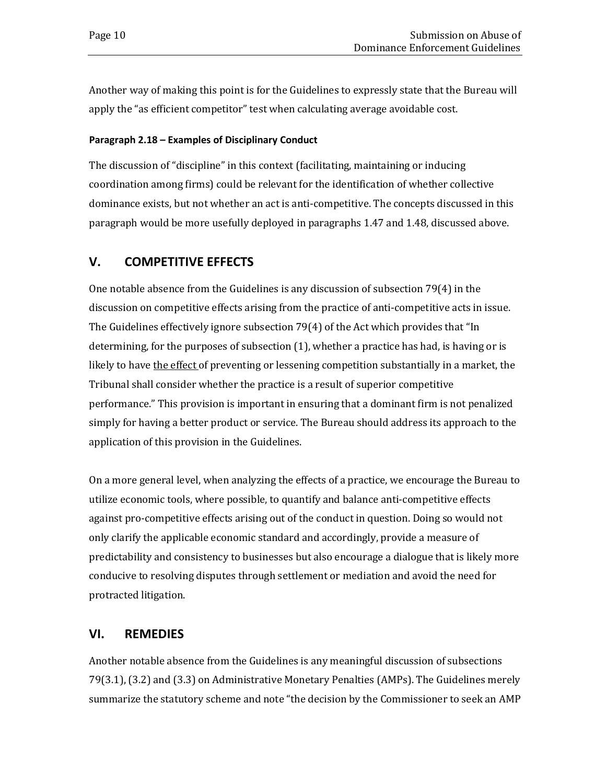Another way of making this point is for the Guidelines to expressly state that the Bureau will apply the "as efficient competitor" test when calculating average avoidable cost.

### <span id="page-13-0"></span>**Paragraph 2.18 – Examples of Disciplinary Conduct**

The discussion of "discipline" in this context (facilitating, maintaining or inducing coordination among firms) could be relevant for the identification of whether collective dominance exists, but not whether an act is anti-competitive. The concepts discussed in this paragraph would be more usefully deployed in paragraphs 1.47 and 1.48, discussed above.

# <span id="page-13-1"></span>**V. COMPETITIVE EFFECTS**

One notable absence from the Guidelines is any discussion of subsection 79(4) in the discussion on competitive effects arising from the practice of anti-competitive acts in issue. The Guidelines effectively ignore subsection 79(4) of the Act which provides that "In determining, for the purposes of subsection (1), whether a practice has had, is having or is likely to have the effect of preventing or lessening competition substantially in a market, the Tribunal shall consider whether the practice is a result of superior competitive performance." This provision is important in ensuring that a dominant firm is not penalized simply for having a better product or service. The Bureau should address its approach to the application of this provision in the Guidelines.

On a more general level, when analyzing the effects of a practice, we encourage the Bureau to utilize economic tools, where possible, to quantify and balance anti-competitive effects against pro-competitive effects arising out of the conduct in question. Doing so would not only clarify the applicable economic standard and accordingly, provide a measure of predictability and consistency to businesses but also encourage a dialogue that is likely more conducive to resolving disputes through settlement or mediation and avoid the need for protracted litigation.

# <span id="page-13-2"></span>**VI. REMEDIES**

Another notable absence from the Guidelines is any meaningful discussion of subsections 79(3.1), (3.2) and (3.3) on Administrative Monetary Penalties (AMPs). The Guidelines merely summarize the statutory scheme and note "the decision by the Commissioner to seek an AMP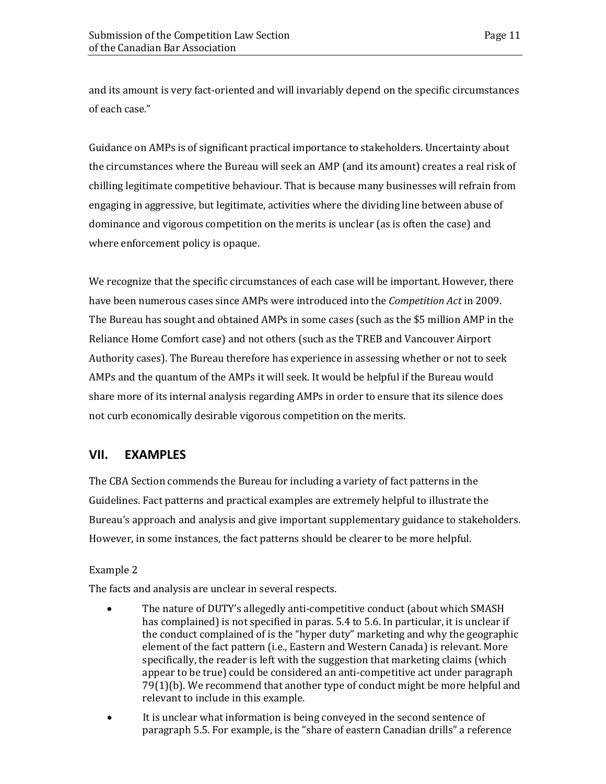and its amount is very fact-oriented and will invariably depend on the specific circumstances of each case."

Guidance on AMPs is of significant practical importance to stakeholders. Uncertainty about the circumstances where the Bureau will seek an AMP (and its amount) creates a real risk of chilling legitimate competitive behaviour. That is because many businesses will refrain from engaging in aggressive, but legitimate, activities where the dividing line between abuse of dominance and vigorous competition on the merits is unclear (as is often the case) and where enforcement policy is opaque.

We recognize that the specific circumstances of each case will be important. However, there have been numerous cases since AMPs were introduced into the *Competition Act* in 2009. The Bureau has sought and obtained AMPs in some cases (such as the \$5 million AMP in the Reliance Home Comfort case) and not others (such as the TREB and Vancouver Airport Authority cases). The Bureau therefore has experience in assessing whether or not to seek AMPs and the quantum of the AMPs it will seek. It would be helpful if the Bureau would share more of its internal analysis regarding AMPs in order to ensure that its silence does not curb economically desirable vigorous competition on the merits.

# <span id="page-14-0"></span>**VII. EXAMPLES**

The CBA Section commends the Bureau for including a variety of fact patterns in the Guidelines. Fact patterns and practical examples are extremely helpful to illustrate the Bureau's approach and analysis and give important supplementary guidance to stakeholders. However, in some instances, the fact patterns should be clearer to be more helpful.

### Example 2

The facts and analysis are unclear in several respects.

- The nature of DUTY's allegedly anti-competitive conduct (about which SMASH has complained) is not specified in paras. 5.4 to 5.6. In particular, it is unclear if the conduct complained of is the "hyper duty" marketing and why the geographic element of the fact pattern (i.e., Eastern and Western Canada) is relevant. More specifically, the reader is left with the suggestion that marketing claims (which appear to be true) could be considered an anti-competitive act under paragraph 79(1)(b). We recommend that another type of conduct might be more helpful and relevant to include in this example.
- It is unclear what information is being conveyed in the second sentence of paragraph 5.5. For example, is the "share of eastern Canadian drills" a reference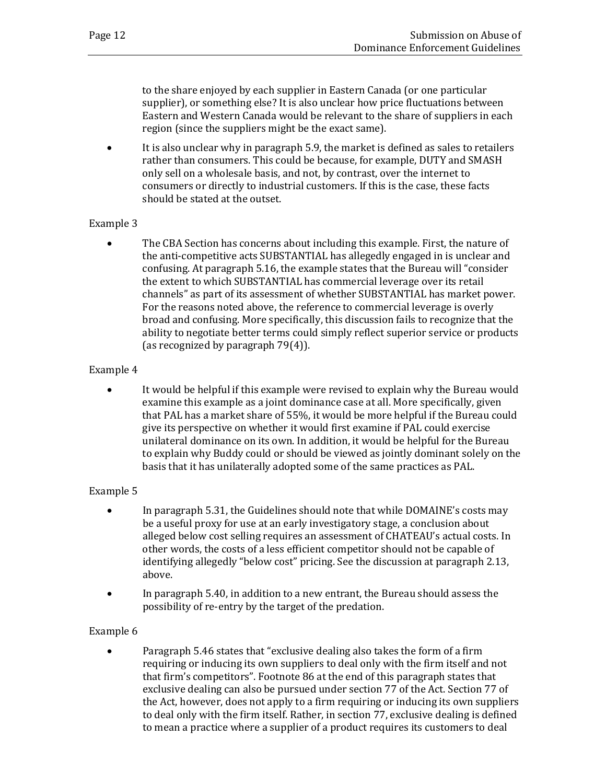to the share enjoyed by each supplier in Eastern Canada (or one particular supplier), or something else? It is also unclear how price fluctuations between Eastern and Western Canada would be relevant to the share of suppliers in each region (since the suppliers might be the exact same).

• It is also unclear why in paragraph 5.9, the market is defined as sales to retailers rather than consumers. This could be because, for example, DUTY and SMASH only sell on a wholesale basis, and not, by contrast, over the internet to consumers or directly to industrial customers. If this is the case, these facts should be stated at the outset.

## Example 3

• The CBA Section has concerns about including this example. First, the nature of the anti-competitive acts SUBSTANTIAL has allegedly engaged in is unclear and confusing. At paragraph 5.16, the example states that the Bureau will "consider the extent to which SUBSTANTIAL has commercial leverage over its retail channels" as part of its assessment of whether SUBSTANTIAL has market power. For the reasons noted above, the reference to commercial leverage is overly broad and confusing. More specifically, this discussion fails to recognize that the ability to negotiate better terms could simply reflect superior service or products (as recognized by paragraph 79(4)).

## Example 4

• It would be helpful if this example were revised to explain why the Bureau would examine this example as a joint dominance case at all. More specifically, given that PAL has a market share of 55%, it would be more helpful if the Bureau could give its perspective on whether it would first examine if PAL could exercise unilateral dominance on its own. In addition, it would be helpful for the Bureau to explain why Buddy could or should be viewed as jointly dominant solely on the basis that it has unilaterally adopted some of the same practices as PAL.

# Example 5

- In paragraph 5.31, the Guidelines should note that while DOMAINE's costs may be a useful proxy for use at an early investigatory stage, a conclusion about alleged below cost selling requires an assessment of CHATEAU's actual costs. In other words, the costs of a less efficient competitor should not be capable of identifying allegedly "below cost" pricing. See the discussion at paragraph 2.13, above.
- In paragraph 5.40, in addition to a new entrant, the Bureau should assess the possibility of re-entry by the target of the predation.

# Example 6

• Paragraph 5.46 states that "exclusive dealing also takes the form of a firm requiring or inducing its own suppliers to deal only with the firm itself and not that firm's competitors". Footnote 86 at the end of this paragraph states that exclusive dealing can also be pursued under section 77 of the Act. Section 77 of the Act, however, does not apply to a firm requiring or inducing its own suppliers to deal only with the firm itself. Rather, in section 77, exclusive dealing is defined to mean a practice where a supplier of a product requires its customers to deal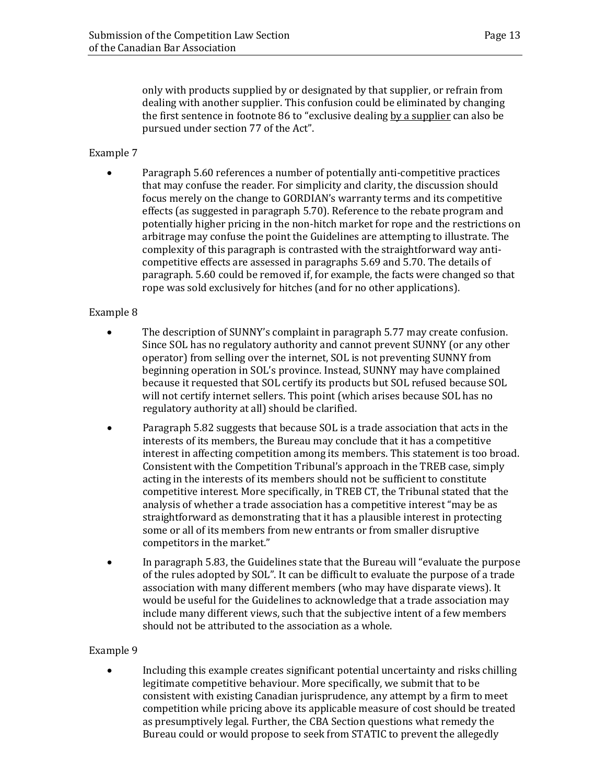only with products supplied by or designated by that supplier, or refrain from dealing with another supplier. This confusion could be eliminated by changing the first sentence in footnote 86 to "exclusive dealing by a supplier can also be pursued under section 77 of the Act".

## Example 7

• Paragraph 5.60 references a number of potentially anti-competitive practices that may confuse the reader. For simplicity and clarity, the discussion should focus merely on the change to GORDIAN's warranty terms and its competitive effects (as suggested in paragraph 5.70). Reference to the rebate program and potentially higher pricing in the non-hitch market for rope and the restrictions on arbitrage may confuse the point the Guidelines are attempting to illustrate. The complexity of this paragraph is contrasted with the straightforward way anticompetitive effects are assessed in paragraphs 5.69 and 5.70. The details of paragraph. 5.60 could be removed if, for example, the facts were changed so that rope was sold exclusively for hitches (and for no other applications).

### Example 8

- The description of SUNNY's complaint in paragraph 5.77 may create confusion. Since SOL has no regulatory authority and cannot prevent SUNNY (or any other operator) from selling over the internet, SOL is not preventing SUNNY from beginning operation in SOL's province. Instead, SUNNY may have complained because it requested that SOL certify its products but SOL refused because SOL will not certify internet sellers. This point (which arises because SOL has no regulatory authority at all) should be clarified.
- Paragraph 5.82 suggests that because SOL is a trade association that acts in the interests of its members, the Bureau may conclude that it has a competitive interest in affecting competition among its members. This statement is too broad. Consistent with the Competition Tribunal's approach in the TREB case, simply acting in the interests of its members should not be sufficient to constitute competitive interest. More specifically, in TREB CT, the Tribunal stated that the analysis of whether a trade association has a competitive interest "may be as straightforward as demonstrating that it has a plausible interest in protecting some or all of its members from new entrants or from smaller disruptive competitors in the market."
- In paragraph 5.83, the Guidelines state that the Bureau will "evaluate the purpose of the rules adopted by SOL". It can be difficult to evaluate the purpose of a trade association with many different members (who may have disparate views). It would be useful for the Guidelines to acknowledge that a trade association may include many different views, such that the subjective intent of a few members should not be attributed to the association as a whole.

### Example 9

• Including this example creates significant potential uncertainty and risks chilling legitimate competitive behaviour. More specifically, we submit that to be consistent with existing Canadian jurisprudence, any attempt by a firm to meet competition while pricing above its applicable measure of cost should be treated as presumptively legal. Further, the CBA Section questions what remedy the Bureau could or would propose to seek from STATIC to prevent the allegedly